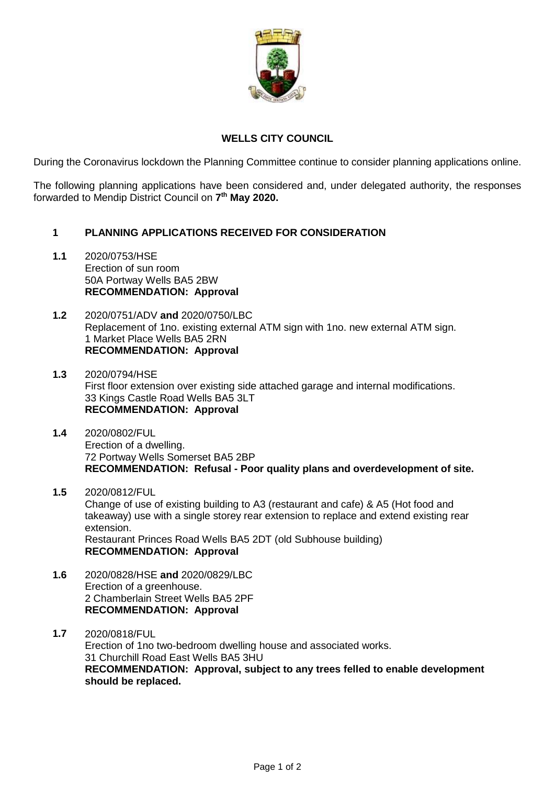

## **WELLS CITY COUNCIL**

During the Coronavirus lockdown the Planning Committee continue to consider planning applications online.

The following planning applications have been considered and, under delegated authority, the responses forwarded to Mendip District Council on **7 th May 2020.**

## **1 PLANNING APPLICATIONS RECEIVED FOR CONSIDERATION**

- **1.1** 2020/0753/HSE Erection of sun room 50A Portway Wells BA5 2BW **RECOMMENDATION: Approval**
- **1.2** 2020/0751/ADV **and** 2020/0750/LBC Replacement of 1no. existing external ATM sign with 1no. new external ATM sign. 1 Market Place Wells BA5 2RN **RECOMMENDATION: Approval**
- **1.3** 2020/0794/HSE First floor extension over existing side attached garage and internal modifications. 33 Kings Castle Road Wells BA5 3LT **RECOMMENDATION: Approval**
- **1.4** 2020/0802/FUL Erection of a dwelling. 72 Portway Wells Somerset BA5 2BP **RECOMMENDATION: Refusal - Poor quality plans and overdevelopment of site.**
- **1.5** 2020/0812/FUL Change of use of existing building to A3 (restaurant and cafe) & A5 (Hot food and takeaway) use with a single storey rear extension to replace and extend existing rear extension. Restaurant Princes Road Wells BA5 2DT (old Subhouse building) **RECOMMENDATION: Approval**
- **1.6** 2020/0828/HSE **and** 2020/0829/LBC Erection of a greenhouse. 2 Chamberlain Street Wells BA5 2PF **RECOMMENDATION: Approval**
- **1.7** 2020/0818/FUL Erection of 1no two-bedroom dwelling house and associated works. 31 Churchill Road East Wells BA5 3HU **RECOMMENDATION: Approval, subject to any trees felled to enable development should be replaced.**